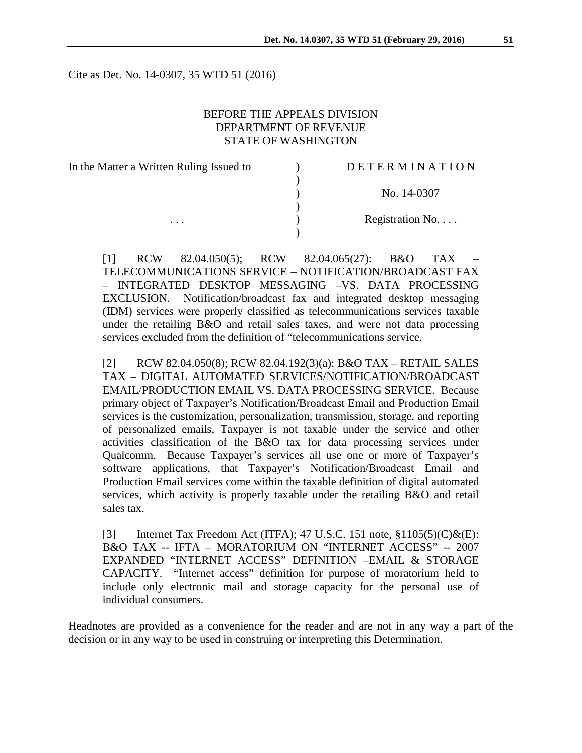Cite as Det. No. 14-0307, 35 WTD 51 (2016)

### BEFORE THE APPEALS DIVISION DEPARTMENT OF REVENUE STATE OF WASHINGTON

| In the Matter a Written Ruling Issued to |  |
|------------------------------------------|--|
|                                          |  |
|                                          |  |
|                                          |  |
|                                          |  |
|                                          |  |

#### $\underline{D} \underline{E} \underline{T} \underline{E} \underline{R} \underline{M} \underline{I} \underline{N} \underline{A} \underline{T} \underline{I} \underline{O} \underline{N}$

) No. 14-0307

Registration No. . . .

[1] RCW 82.04.050(5); RCW 82.04.065(27): B&O TAX – TELECOMMUNICATIONS SERVICE – NOTIFICATION/BROADCAST FAX – INTEGRATED DESKTOP MESSAGING –VS. DATA PROCESSING EXCLUSION. Notification/broadcast fax and integrated desktop messaging (IDM) services were properly classified as telecommunications services taxable under the retailing B&O and retail sales taxes, and were not data processing services excluded from the definition of "telecommunications service.

[2] RCW 82.04.050(8); RCW 82.04.192(3)(a): B&O TAX – RETAIL SALES TAX – DIGITAL AUTOMATED SERVICES/NOTIFICATION/BROADCAST EMAIL/PRODUCTION EMAIL VS. DATA PROCESSING SERVICE. Because primary object of Taxpayer's Notification/Broadcast Email and Production Email services is the customization, personalization, transmission, storage, and reporting of personalized emails, Taxpayer is not taxable under the service and other activities classification of the B&O tax for data processing services under Qualcomm. Because Taxpayer's services all use one or more of Taxpayer's software applications, that Taxpayer's Notification/Broadcast Email and Production Email services come within the taxable definition of digital automated services, which activity is properly taxable under the retailing B&O and retail sales tax.

[3] Internet Tax Freedom Act (ITFA); 47 U.S.C. 151 note,  $\S1105(5)(C)\&(E)$ : B&O TAX -- IFTA – MORATORIUM ON "INTERNET ACCESS" -- 2007 EXPANDED "INTERNET ACCESS" DEFINITION –EMAIL & STORAGE CAPACITY. "Internet access" definition for purpose of moratorium held to include only electronic mail and storage capacity for the personal use of individual consumers.

Headnotes are provided as a convenience for the reader and are not in any way a part of the decision or in any way to be used in construing or interpreting this Determination.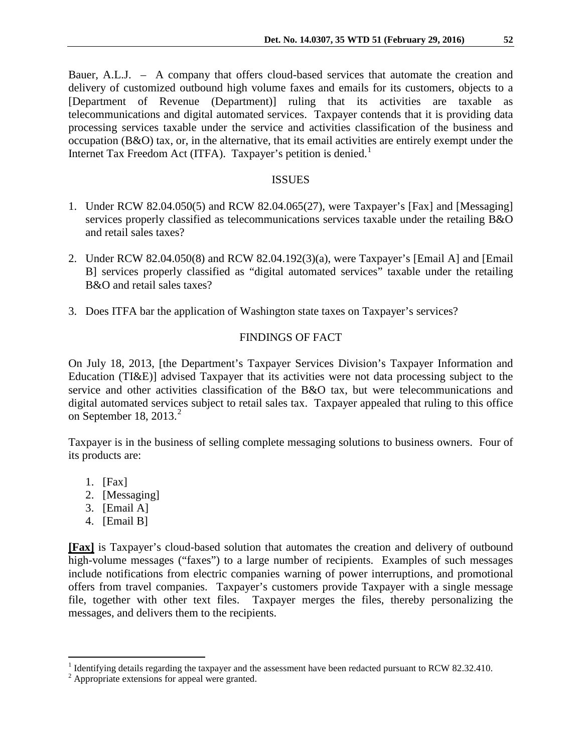Bauer, A.L.J. – A company that offers cloud-based services that automate the creation and delivery of customized outbound high volume faxes and emails for its customers, objects to a [Department of Revenue (Department)] ruling that its activities are taxable as telecommunications and digital automated services. Taxpayer contends that it is providing data processing services taxable under the service and activities classification of the business and occupation (B&O) tax, or, in the alternative, that its email activities are entirely exempt under the Internet Tax Freedom Act (ITFA). Taxpayer's petition is denied.<sup>[1](#page-1-0)</sup>

### ISSUES

- 1. Under RCW 82.04.050(5) and RCW 82.04.065(27), were Taxpayer's [Fax] and [Messaging] services properly classified as telecommunications services taxable under the retailing B&O and retail sales taxes?
- 2. Under RCW 82.04.050(8) and RCW 82.04.192(3)(a), were Taxpayer's [Email A] and [Email B] services properly classified as "digital automated services" taxable under the retailing B&O and retail sales taxes?
- 3. Does ITFA bar the application of Washington state taxes on Taxpayer's services?

# FINDINGS OF FACT

On July 18, 2013, [the Department's Taxpayer Services Division's Taxpayer Information and Education (TI&E)] advised Taxpayer that its activities were not data processing subject to the service and other activities classification of the B&O tax, but were telecommunications and digital automated services subject to retail sales tax. Taxpayer appealed that ruling to this office on September 18, [2](#page-1-1)013. $2$ 

Taxpayer is in the business of selling complete messaging solutions to business owners. Four of its products are:

- 1. [Fax]
- 2. [Messaging]
- 3. [Email A]
- 4. [Email B]

**[Fax]** is Taxpayer's cloud-based solution that automates the creation and delivery of outbound high-volume messages ("faxes") to a large number of recipients. Examples of such messages include notifications from electric companies warning of power interruptions, and promotional offers from travel companies. Taxpayer's customers provide Taxpayer with a single message file, together with other text files. Taxpayer merges the files, thereby personalizing the messages, and delivers them to the recipients.

<span id="page-1-0"></span><sup>&</sup>lt;sup>1</sup> Identifying details regarding the taxpayer and the assessment have been redacted pursuant to RCW 82.32.410.<br><sup>2</sup> Appropriate extensions for appeal were granted.

<span id="page-1-1"></span>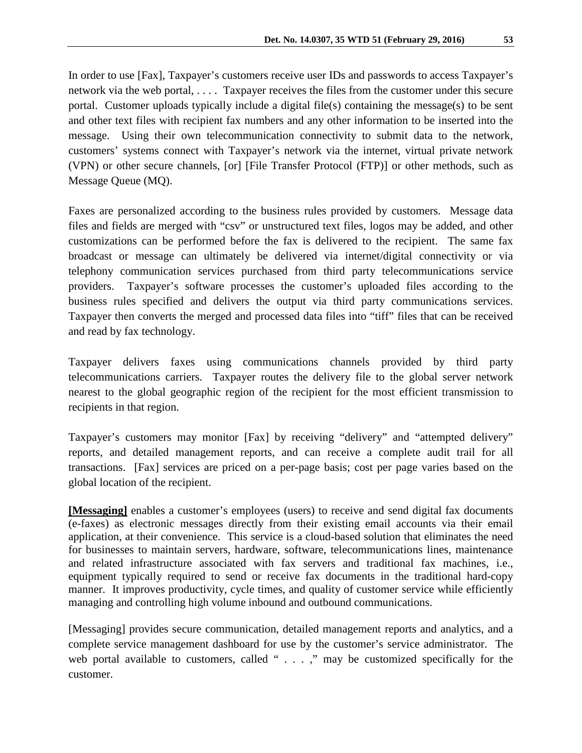In order to use [Fax], Taxpayer's customers receive user IDs and passwords to access Taxpayer's network via the web portal, . . . . Taxpayer receives the files from the customer under this secure portal. Customer uploads typically include a digital file(s) containing the message(s) to be sent and other text files with recipient fax numbers and any other information to be inserted into the message. Using their own telecommunication connectivity to submit data to the network, customers' systems connect with Taxpayer's network via the internet, virtual private network (VPN) or other secure channels, [or] [File Transfer Protocol (FTP)] or other methods, such as Message Queue (MQ).

Faxes are personalized according to the business rules provided by customers. Message data files and fields are merged with "csv" or unstructured text files, logos may be added, and other customizations can be performed before the fax is delivered to the recipient. The same fax broadcast or message can ultimately be delivered via internet/digital connectivity or via telephony communication services purchased from third party telecommunications service providers. Taxpayer's software processes the customer's uploaded files according to the business rules specified and delivers the output via third party communications services. Taxpayer then converts the merged and processed data files into "tiff" files that can be received and read by fax technology.

Taxpayer delivers faxes using communications channels provided by third party telecommunications carriers. Taxpayer routes the delivery file to the global server network nearest to the global geographic region of the recipient for the most efficient transmission to recipients in that region.

Taxpayer's customers may monitor [Fax] by receiving "delivery" and "attempted delivery" reports, and detailed management reports, and can receive a complete audit trail for all transactions. [Fax] services are priced on a per-page basis; cost per page varies based on the global location of the recipient.

**[Messaging]** enables a customer's employees (users) to receive and send digital fax documents (e-faxes) as electronic messages directly from their existing email accounts via their email application, at their convenience. This service is a cloud-based solution that eliminates the need for businesses to maintain servers, hardware, software, telecommunications lines, maintenance and related infrastructure associated with fax servers and traditional fax machines, i.e., equipment typically required to send or receive fax documents in the traditional hard-copy manner. It improves productivity, cycle times, and quality of customer service while efficiently managing and controlling high volume inbound and outbound communications.

[Messaging] provides secure communication, detailed management reports and analytics, and a complete service management dashboard for use by the customer's service administrator. The web portal available to customers, called " . . . ," may be customized specifically for the customer.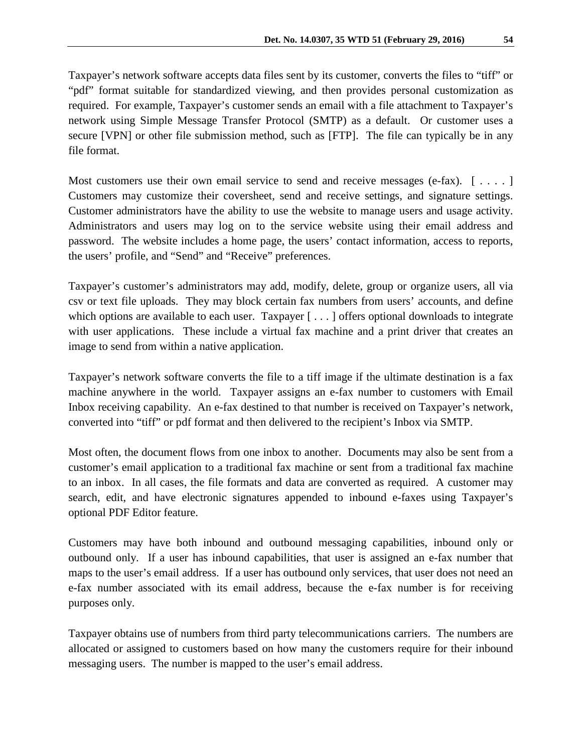Taxpayer's network software accepts data files sent by its customer, converts the files to "tiff" or "pdf" format suitable for standardized viewing, and then provides personal customization as required. For example, Taxpayer's customer sends an email with a file attachment to Taxpayer's network using Simple Message Transfer Protocol (SMTP) as a default. Or customer uses a secure [VPN] or other file submission method, such as [FTP]. The file can typically be in any file format.

Most customers use their own email service to send and receive messages (e-fax).  $[\ldots]$ Customers may customize their coversheet, send and receive settings, and signature settings. Customer administrators have the ability to use the website to manage users and usage activity. Administrators and users may log on to the service website using their email address and password. The website includes a home page, the users' contact information, access to reports, the users' profile, and "Send" and "Receive" preferences.

Taxpayer's customer's administrators may add, modify, delete, group or organize users, all via csv or text file uploads. They may block certain fax numbers from users' accounts, and define which options are available to each user. Taxpayer [...] offers optional downloads to integrate with user applications. These include a virtual fax machine and a print driver that creates an image to send from within a native application.

Taxpayer's network software converts the file to a tiff image if the ultimate destination is a fax machine anywhere in the world. Taxpayer assigns an e-fax number to customers with Email Inbox receiving capability. An e-fax destined to that number is received on Taxpayer's network, converted into "tiff" or pdf format and then delivered to the recipient's Inbox via SMTP.

Most often, the document flows from one inbox to another. Documents may also be sent from a customer's email application to a traditional fax machine or sent from a traditional fax machine to an inbox. In all cases, the file formats and data are converted as required. A customer may search, edit, and have electronic signatures appended to inbound e-faxes using Taxpayer's optional PDF Editor feature.

Customers may have both inbound and outbound messaging capabilities, inbound only or outbound only. If a user has inbound capabilities, that user is assigned an e-fax number that maps to the user's email address. If a user has outbound only services, that user does not need an e-fax number associated with its email address, because the e-fax number is for receiving purposes only.

Taxpayer obtains use of numbers from third party telecommunications carriers. The numbers are allocated or assigned to customers based on how many the customers require for their inbound messaging users. The number is mapped to the user's email address.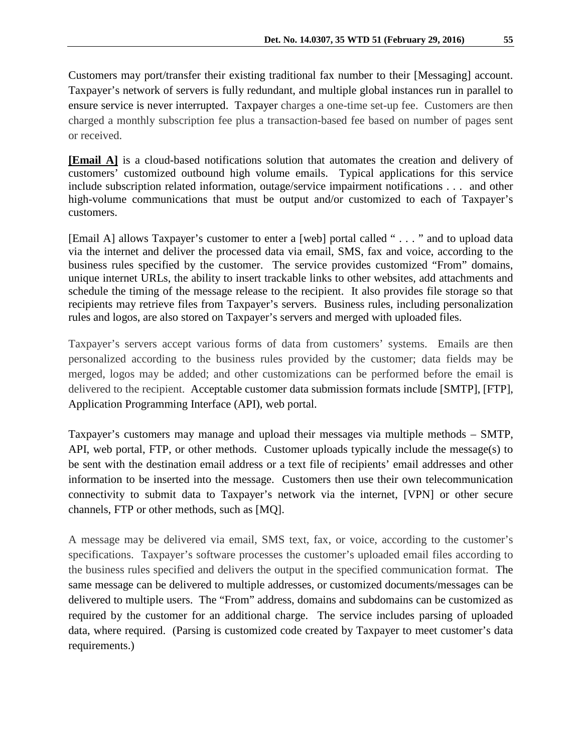Customers may port/transfer their existing traditional fax number to their [Messaging] account. Taxpayer's network of servers is fully redundant, and multiple global instances run in parallel to ensure service is never interrupted. Taxpayer charges a one-time set-up fee. Customers are then charged a monthly subscription fee plus a transaction-based fee based on number of pages sent or received.

**[Email A]** is a cloud-based notifications solution that automates the creation and delivery of customers' customized outbound high volume emails. Typical applications for this service include subscription related information, outage/service impairment notifications . . . and other high-volume communications that must be output and/or customized to each of Taxpayer's customers.

[Email A] allows Taxpayer's customer to enter a [web] portal called "..." and to upload data via the internet and deliver the processed data via email, SMS, fax and voice, according to the business rules specified by the customer. The service provides customized "From" domains, unique internet URLs, the ability to insert trackable links to other websites, add attachments and schedule the timing of the message release to the recipient. It also provides file storage so that recipients may retrieve files from Taxpayer's servers. Business rules, including personalization rules and logos, are also stored on Taxpayer's servers and merged with uploaded files.

Taxpayer's servers accept various forms of data from customers' systems. Emails are then personalized according to the business rules provided by the customer; data fields may be merged, logos may be added; and other customizations can be performed before the email is delivered to the recipient. Acceptable customer data submission formats include [SMTP], [FTP], Application Programming Interface (API), web portal.

Taxpayer's customers may manage and upload their messages via multiple methods – SMTP, API, web portal, FTP, or other methods. Customer uploads typically include the message(s) to be sent with the destination email address or a text file of recipients' email addresses and other information to be inserted into the message. Customers then use their own telecommunication connectivity to submit data to Taxpayer's network via the internet, [VPN] or other secure channels, FTP or other methods, such as [MQ].

A message may be delivered via email, SMS text, fax, or voice, according to the customer's specifications. Taxpayer's software processes the customer's uploaded email files according to the business rules specified and delivers the output in the specified communication format. The same message can be delivered to multiple addresses, or customized documents/messages can be delivered to multiple users. The "From" address, domains and subdomains can be customized as required by the customer for an additional charge. The service includes parsing of uploaded data, where required. (Parsing is customized code created by Taxpayer to meet customer's data requirements.)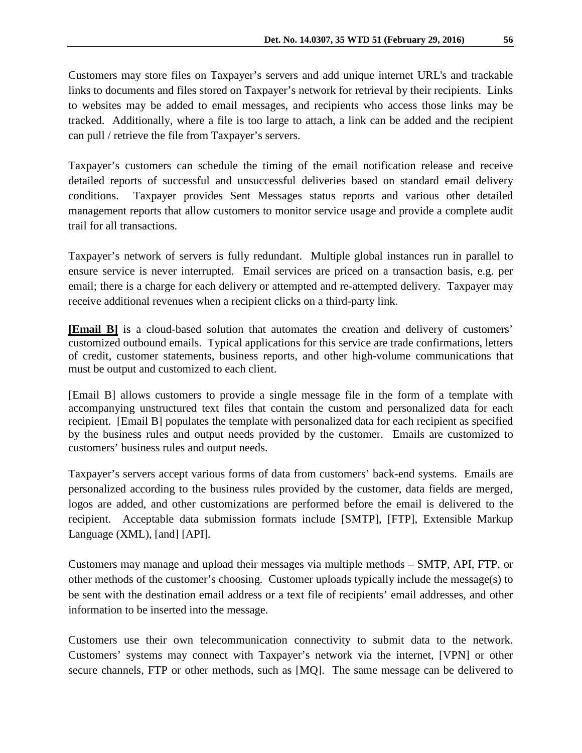Customers may store files on Taxpayer's servers and add unique internet URL's and trackable links to documents and files stored on Taxpayer's network for retrieval by their recipients. Links to websites may be added to email messages, and recipients who access those links may be tracked. Additionally, where a file is too large to attach, a link can be added and the recipient can pull / retrieve the file from Taxpayer's servers.

Taxpayer's customers can schedule the timing of the email notification release and receive detailed reports of successful and unsuccessful deliveries based on standard email delivery conditions. Taxpayer provides Sent Messages status reports and various other detailed management reports that allow customers to monitor service usage and provide a complete audit trail for all transactions.

Taxpayer's network of servers is fully redundant. Multiple global instances run in parallel to ensure service is never interrupted. Email services are priced on a transaction basis, e.g. per email; there is a charge for each delivery or attempted and re-attempted delivery. Taxpayer may receive additional revenues when a recipient clicks on a third-party link.

**[Email B]** is a cloud-based solution that automates the creation and delivery of customers' customized outbound emails. Typical applications for this service are trade confirmations, letters of credit, customer statements, business reports, and other high-volume communications that must be output and customized to each client.

[Email B] allows customers to provide a single message file in the form of a template with accompanying unstructured text files that contain the custom and personalized data for each recipient. [Email B] populates the template with personalized data for each recipient as specified by the business rules and output needs provided by the customer. Emails are customized to customers' business rules and output needs.

Taxpayer's servers accept various forms of data from customers' back-end systems. Emails are personalized according to the business rules provided by the customer, data fields are merged, logos are added, and other customizations are performed before the email is delivered to the recipient. Acceptable data submission formats include [SMTP], [FTP], Extensible Markup Language (XML), [and] [API].

Customers may manage and upload their messages via multiple methods – SMTP, API, FTP, or other methods of the customer's choosing. Customer uploads typically include the message(s) to be sent with the destination email address or a text file of recipients' email addresses, and other information to be inserted into the message.

Customers use their own telecommunication connectivity to submit data to the network. Customers' systems may connect with Taxpayer's network via the internet, [VPN] or other secure channels, FTP or other methods, such as [MQ]. The same message can be delivered to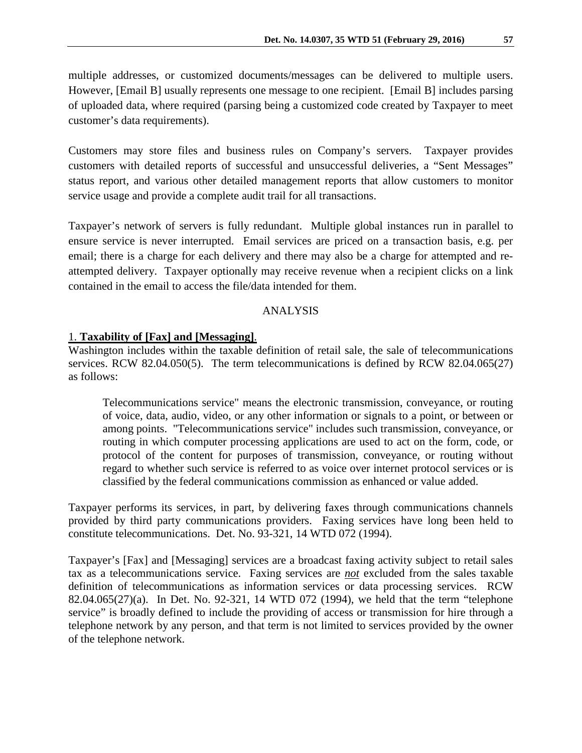multiple addresses, or customized documents/messages can be delivered to multiple users. However, [Email B] usually represents one message to one recipient. [Email B] includes parsing of uploaded data, where required (parsing being a customized code created by Taxpayer to meet customer's data requirements).

Customers may store files and business rules on Company's servers. Taxpayer provides customers with detailed reports of successful and unsuccessful deliveries, a "Sent Messages" status report, and various other detailed management reports that allow customers to monitor service usage and provide a complete audit trail for all transactions.

Taxpayer's network of servers is fully redundant. Multiple global instances run in parallel to ensure service is never interrupted. Email services are priced on a transaction basis, e.g. per email; there is a charge for each delivery and there may also be a charge for attempted and reattempted delivery. Taxpayer optionally may receive revenue when a recipient clicks on a link contained in the email to access the file/data intended for them.

## ANALYSIS

#### 1. **Taxability of [Fax] and [Messaging]**.

Washington includes within the taxable definition of retail sale, the sale of telecommunications services. RCW 82.04.050(5). The term telecommunications is defined by RCW 82.04.065(27) as follows:

Telecommunications service" means the electronic transmission, conveyance, or routing of voice, data, audio, video, or any other information or signals to a point, or between or among points. "Telecommunications service" includes such transmission, conveyance, or routing in which computer processing applications are used to act on the form, code, or protocol of the content for purposes of transmission, conveyance, or routing without regard to whether such service is referred to as voice over internet protocol services or is classified by the federal communications commission as enhanced or value added.

Taxpayer performs its services, in part, by delivering faxes through communications channels provided by third party communications providers. Faxing services have long been held to constitute telecommunications. Det. No. 93-321, 14 WTD 072 (1994).

Taxpayer's [Fax] and [Messaging] services are a broadcast faxing activity subject to retail sales tax as a telecommunications service. Faxing services are *not* excluded from the sales taxable definition of telecommunications as information services or data processing services. RCW 82.04.065(27)(a). In Det. No. 92-321, 14 WTD 072 (1994), we held that the term "telephone service" is broadly defined to include the providing of access or transmission for hire through a telephone network by any person, and that term is not limited to services provided by the owner of the telephone network.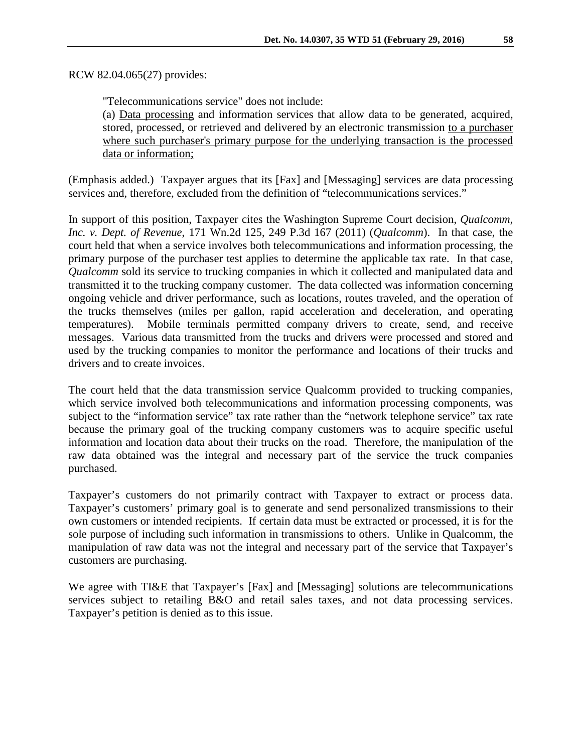RCW 82.04.065(27) provides:

"Telecommunications service" does not include:

(a) Data processing and information services that allow data to be generated, acquired, stored, processed, or retrieved and delivered by an electronic transmission to a purchaser where such purchaser's primary purpose for the underlying transaction is the processed data or information;

(Emphasis added.) Taxpayer argues that its [Fax] and [Messaging] services are data processing services and, therefore, excluded from the definition of "telecommunications services."

In support of this position, Taxpayer cites the Washington Supreme Court decision, *Qualcomm, Inc. v. Dept. of Revenue*, 171 Wn.2d 125, 249 P.3d 167 (2011) (*Qualcomm*). In that case, the court held that when a service involves both telecommunications and information processing, the primary purpose of the purchaser test applies to determine the applicable tax rate. In that case, *Qualcomm* sold its service to trucking companies in which it collected and manipulated data and transmitted it to the trucking company customer. The data collected was information concerning ongoing vehicle and driver performance, such as locations, routes traveled, and the operation of the trucks themselves (miles per gallon, rapid acceleration and deceleration, and operating temperatures). Mobile terminals permitted company drivers to create, send, and receive messages. Various data transmitted from the trucks and drivers were processed and stored and used by the trucking companies to monitor the performance and locations of their trucks and drivers and to create invoices.

The court held that the data transmission service Qualcomm provided to trucking companies, which service involved both telecommunications and information processing components, was subject to the "information service" tax rate rather than the "network telephone service" tax rate because the primary goal of the trucking company customers was to acquire specific useful information and location data about their trucks on the road. Therefore, the manipulation of the raw data obtained was the integral and necessary part of the service the truck companies purchased.

Taxpayer's customers do not primarily contract with Taxpayer to extract or process data. Taxpayer's customers' primary goal is to generate and send personalized transmissions to their own customers or intended recipients. If certain data must be extracted or processed, it is for the sole purpose of including such information in transmissions to others. Unlike in Qualcomm, the manipulation of raw data was not the integral and necessary part of the service that Taxpayer's customers are purchasing.

We agree with TI&E that Taxpayer's [Fax] and [Messaging] solutions are telecommunications services subject to retailing B&O and retail sales taxes, and not data processing services. Taxpayer's petition is denied as to this issue.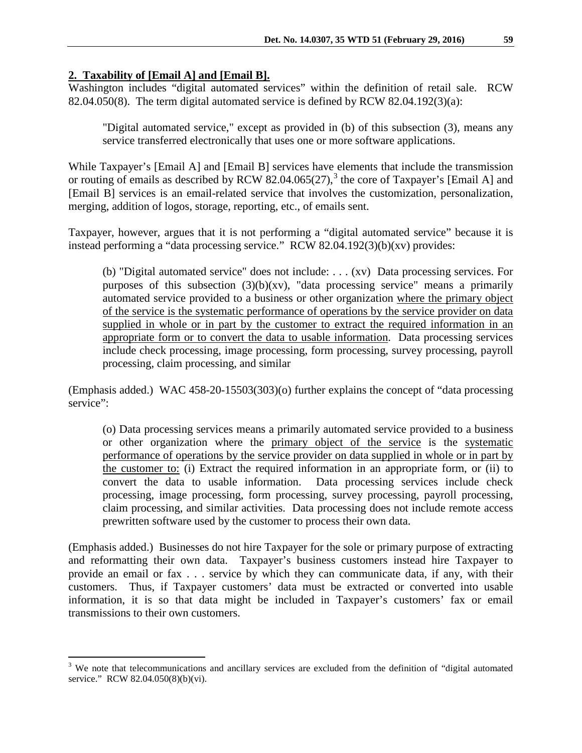## **2. Taxability of [Email A] and [Email B].**

Washington includes "digital automated services" within the definition of retail sale. RCW 82.04.050(8). The term digital automated service is defined by RCW 82.04.192(3)(a):

"Digital automated service," except as provided in (b) of this subsection (3), means any service transferred electronically that uses one or more software applications.

While Taxpayer's [Email A] and [Email B] services have elements that include the transmission or routing of emails as described by RCW 82.04.065 $(27)$ ,  $3$  the core of Taxpayer's [Email A] and [Email B] services is an email-related service that involves the customization, personalization, merging, addition of logos, storage, reporting, etc., of emails sent.

Taxpayer, however, argues that it is not performing a "digital automated service" because it is instead performing a "data processing service." RCW 82.04.192(3)(b)(xv) provides:

(b) "Digital automated service" does not include: . . . (xv) Data processing services. For purposes of this subsection (3)(b)(xv), "data processing service" means a primarily automated service provided to a business or other organization where the primary object of the service is the systematic performance of operations by the service provider on data supplied in whole or in part by the customer to extract the required information in an appropriate form or to convert the data to usable information. Data processing services include check processing, image processing, form processing, survey processing, payroll processing, claim processing, and similar

(Emphasis added.) WAC 458-20-15503(303)(o) further explains the concept of "data processing service":

(o) Data processing services means a primarily automated service provided to a business or other organization where the primary object of the service is the systematic performance of operations by the service provider on data supplied in whole or in part by the customer to: (i) Extract the required information in an appropriate form, or (ii) to convert the data to usable information. Data processing services include check processing, image processing, form processing, survey processing, payroll processing, claim processing, and similar activities. Data processing does not include remote access prewritten software used by the customer to process their own data.

(Emphasis added.) Businesses do not hire Taxpayer for the sole or primary purpose of extracting and reformatting their own data. Taxpayer's business customers instead hire Taxpayer to provide an email or fax . . . service by which they can communicate data, if any, with their customers. Thus, if Taxpayer customers' data must be extracted or converted into usable information, it is so that data might be included in Taxpayer's customers' fax or email transmissions to their own customers.

<span id="page-8-0"></span><sup>&</sup>lt;sup>3</sup> We note that telecommunications and ancillary services are excluded from the definition of "digital automated" service." RCW 82.04.050(8)(b)(vi).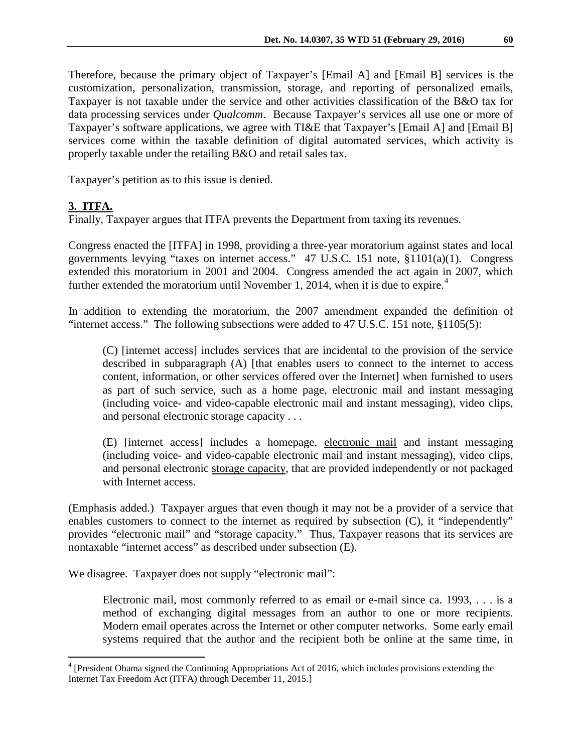Therefore, because the primary object of Taxpayer's [Email A] and [Email B] services is the customization, personalization, transmission, storage, and reporting of personalized emails, Taxpayer is not taxable under the service and other activities classification of the B&O tax for data processing services under *Qualcomm*. Because Taxpayer's services all use one or more of Taxpayer's software applications, we agree with TI&E that Taxpayer's [Email A] and [Email B] services come within the taxable definition of digital automated services, which activity is properly taxable under the retailing B&O and retail sales tax.

Taxpayer's petition as to this issue is denied.

## **3. ITFA.**

Finally, Taxpayer argues that ITFA prevents the Department from taxing its revenues.

Congress enacted the [ITFA] in 1998, providing a three-year moratorium against states and local governments levying "taxes on internet access." 47 U.S.C. 151 note, §1101(a)(1). Congress extended this moratorium in 2001 and 2004. Congress amended the act again in 2007, which further extended the moratorium until November 1, 201[4](#page-9-0), when it is due to expire.<sup>4</sup>

In addition to extending the moratorium, the 2007 amendment expanded the definition of "internet access." The following subsections were added to 47 U.S.C. 151 note, §1105(5):

(C) [internet access] includes services that are incidental to the provision of the service described in subparagraph (A) [that enables users to connect to the internet to access content, information, or other services offered over the Internet] when furnished to users as part of such service, such as a home page, electronic mail and instant messaging (including voice- and video-capable electronic mail and instant messaging), video clips, and personal electronic storage capacity . . .

(E) [internet access] includes a homepage, electronic mail and instant messaging (including voice- and video-capable electronic mail and instant messaging), video clips, and personal electronic storage capacity, that are provided independently or not packaged with Internet access.

(Emphasis added.) Taxpayer argues that even though it may not be a provider of a service that enables customers to connect to the internet as required by subsection (C), it "independently" provides "electronic mail" and "storage capacity." Thus, Taxpayer reasons that its services are nontaxable "internet access" as described under subsection (E).

We disagree. Taxpayer does not supply "electronic mail":

Electronic mail, most commonly referred to as email or e-mail since ca. 1993, . . . is a method of exchanging digital messages from an author to one or more recipients. Modern email operates across the Internet or other computer networks. Some early email systems required that the author and the recipient both be online at the same time, in

<span id="page-9-0"></span> <sup>4</sup> [President Obama signed the Continuing Appropriations Act of 2016, which includes provisions extending the Internet Tax Freedom Act (ITFA) through December 11, 2015.]